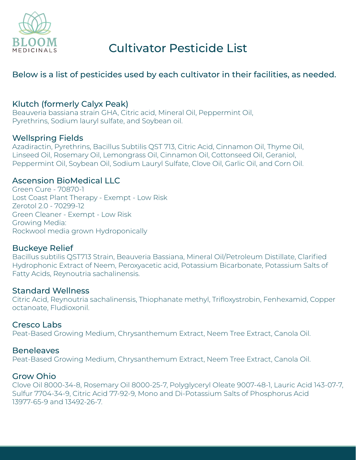

# Below is a list of pesticides used by each cultivator in their facilities, as needed.

# Klutch (formerly Calyx Peak)

Beauveria bassiana strain GHA, Citric acid, Mineral Oil, Peppermint Oil, Pyrethrins, Sodium lauryl sulfate, and Soybean oil.

# Wellspring Fields

Azadiractin, Pyrethrins, Bacillus Subtilis QST 713, Citric Acid, Cinnamon Oil, Thyme Oil, Linseed Oil, Rosemary Oil, Lemongrass Oil, Cinnamon Oil, Cottonseed Oil, Geraniol, Peppermint Oil, Soybean Oil, Sodium Lauryl Sulfate, Clove Oil, Garlic Oil, and Corn Oil.

### Ascension BioMedical LLC

Green Cure - 70870-1 Lost Coast Plant Therapy - Exempt - Low Risk Zerotol 2.0 - 70299-12 Green Cleaner - Exempt - Low Risk Growing Media: Rockwool media grown Hydroponically

#### Buckeye Relief

Bacillus subtilis QST713 Strain, Beauveria Bassiana, Mineral Oil/Petroleum Distillate, Clarified Hydrophonic Extract of Neem, Peroxyacetic acid, Potassium Bicarbonate, Potassium Salts of Fatty Acids, Reynoutria sachalinensis.

#### Standard Wellness

Citric Acid, Reynoutria sachalinensis, Thiophanate methyl, Trifloxystrobin, Fenhexamid, Copper octanoate, Fludioxonil.

#### Cresco Labs

Peat-Based Growing Medium, Chrysanthemum Extract, Neem Tree Extract, Canola Oil.

#### **Beneleaves**

Peat-Based Growing Medium, Chrysanthemum Extract, Neem Tree Extract, Canola Oil.

# Grow Ohio

Clove Oil 8000-34-8, Rosemary Oil 8000-25-7, Polyglyceryl Oleate 9007-48-1, Lauric Acid 143-07-7, Sulfur 7704-34-9, Citric Acid 77-92-9, Mono and Di-Potassium Salts of Phosphorus Acid 13977-65-9 and 13492-26-7.